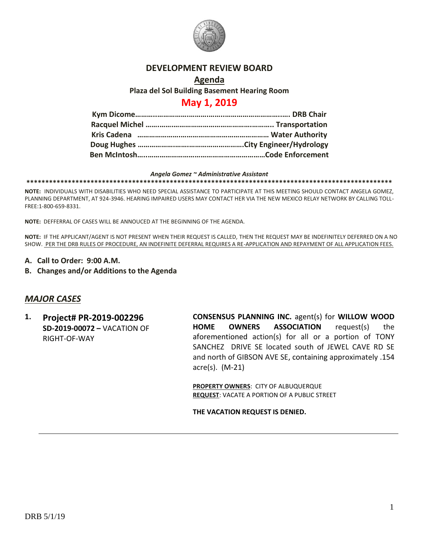

### **DEVELOPMENT REVIEW BOARD**

### **Agenda Plaza del Sol Building Basement Hearing Room**

# **May 1, 2019**

#### *Angela Gomez ~ Administrative Assistant* **\*\*\*\*\*\*\*\*\*\*\*\*\*\*\*\*\*\*\*\*\*\*\*\*\*\*\*\*\*\*\*\*\*\*\*\*\*\*\*\*\*\*\*\*\*\*\*\*\*\*\*\*\*\*\*\*\*\*\*\*\*\*\*\*\*\*\*\*\*\*\*\*\*\*\*\*\*\*\*\*\*\*\*\*\*\*\*\*\*\*\*\*\*\*\*\*\***

**NOTE:** INDIVIDUALS WITH DISABILITIES WHO NEED SPECIAL ASSISTANCE TO PARTICIPATE AT THIS MEETING SHOULD CONTACT ANGELA GOMEZ, PLANNING DEPARTMENT, AT 924-3946. HEARING IMPAIRED USERS MAY CONTACT HER VIA THE NEW MEXICO RELAY NETWORK BY CALLING TOLL-FREE:1-800-659-8331.

**NOTE:** DEFFERRAL OF CASES WILL BE ANNOUCED AT THE BEGINNING OF THE AGENDA.

**NOTE:** IF THE APPLICANT/AGENT IS NOT PRESENT WHEN THEIR REQUEST IS CALLED, THEN THE REQUEST MAY BE INDEFINITELY DEFERRED ON A NO SHOW. PER THE DRB RULES OF PROCEDURE, AN INDEFINITE DEFERRAL REQUIRES A RE-APPLICATION AND REPAYMENT OF ALL APPLICATION FEES.

- **A. Call to Order: 9:00 A.M.**
- **B. Changes and/or Additions to the Agenda**

### *MAJOR CASES*

**1. Project# PR-2019-002296 SD-2019-00072 –** VACATION OF RIGHT-OF-WAY

**CONSENSUS PLANNING INC.** agent(s) for **WILLOW WOOD HOME OWNERS ASSOCIATION** request(s) the aforementioned action(s) for all or a portion of TONY SANCHEZ DRIVE SE located south of JEWEL CAVE RD SE and north of GIBSON AVE SE, containing approximately .154 acre(s). (M-21)

**PROPERTY OWNERS**: CITY OF ALBUQUERQUE **REQUEST**: VACATE A PORTION OF A PUBLIC STREET

**THE VACATION REQUEST IS DENIED.**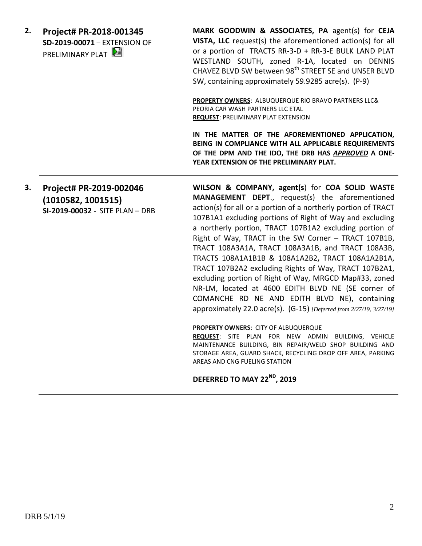**2. Project# PR-2018-001345 SD-2019-00071** – EXTENSION OF PRELIMINARY PLAT

**MARK GOODWIN & ASSOCIATES, PA** agent(s) for **CEJA VISTA, LLC** request(s) the aforementioned action(s) for all or a portion of TRACTS RR-3-D + RR-3-E BULK LAND PLAT WESTLAND SOUTH**,** zoned R-1A, located on DENNIS CHAVEZ BLVD SW between 98<sup>th</sup> STREET SE and UNSER BLVD SW, containing approximately 59.9285 acre(s). (P-9)

**PROPERTY OWNERS**: ALBUQUERQUE RIO BRAVO PARTNERS LLC& PEORIA CAR WASH PARTNERS LLC ETAL **REQUEST**: PRELIMINARY PLAT EXTENSION

**IN THE MATTER OF THE AFOREMENTIONED APPLICATION, BEING IN COMPLIANCE WITH ALL APPLICABLE REQUIREMENTS OF THE DPM AND THE IDO, THE DRB HAS** *APPROVED* **A ONE-YEAR EXTENSION OF THE PRELIMINARY PLAT.**

# **3. Project# PR-2019-002046 (1010582, 1001515) SI-2019-00032 -** SITE PLAN – DRB

**WILSON & COMPANY, agent(s**) for **COA SOLID WASTE MANAGEMENT DEPT**., request(s) the aforementioned action(s) for all or a portion of a northerly portion of TRACT 107B1A1 excluding portions of Right of Way and excluding a northerly portion, TRACT 107B1A2 excluding portion of Right of Way, TRACT in the SW Corner – TRACT 107B1B, TRACT 108A3A1A, TRACT 108A3A1B, and TRACT 108A3B, TRACTS 108A1A1B1B & 108A1A2B2**,** TRACT 108A1A2B1A, TRACT 107B2A2 excluding Rights of Way, TRACT 107B2A1, excluding portion of Right of Way, MRGCD Map#33, zoned NR-LM, located at 4600 EDITH BLVD NE (SE corner of COMANCHE RD NE AND EDITH BLVD NE), containing approximately 22.0 acre(s). (G-15) *[Deferred from 2/27/19, 3/27/19]*

### **PROPERTY OWNERS**: CITY OF ALBUQUERQUE

**REQUEST**: SITE PLAN FOR NEW ADMIN BUILDING, VEHICLE MAINTENANCE BUILDING, BIN REPAIR/WELD SHOP BUILDING AND STORAGE AREA, GUARD SHACK, RECYCLING DROP OFF AREA, PARKING AREAS AND CNG FUELING STATION

## **DEFERRED TO MAY 22ND, 2019**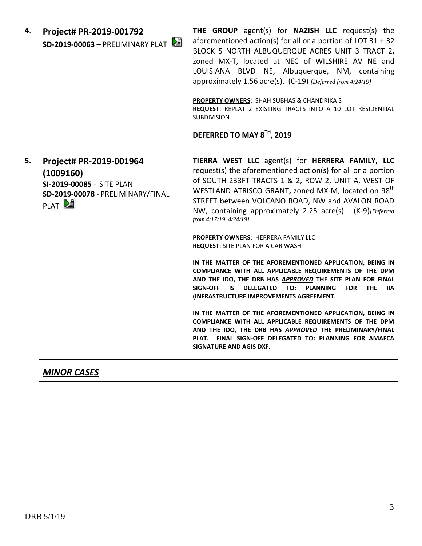**4**. **Project# PR-2019-001792 SD-2019-00063 –** PRELIMINARY PLAT **THE GROUP** agent(s) for **NAZISH LLC** request(s) the aforementioned action(s) for all or a portion of LOT  $31 + 32$ BLOCK 5 NORTH ALBUQUERQUE ACRES UNIT 3 TRACT 2**,**  zoned MX-T, located at NEC of WILSHIRE AV NE and LOUISIANA BLVD NE, Albuquerque, NM, containing approximately 1.56 acre(s). (C-19) *[Deferred from 4/24/19]*

**PROPERTY OWNERS**: SHAH SUBHAS & CHANDRIKA S **REQUEST**: REPLAT 2 EXISTING TRACTS INTO A 10 LOT RESIDENTIAL SUBDIVISION

# **DEFERRED TO MAY 8TH, 2019**

# **5. Project# PR-2019-001964 (1009160) SI-2019-00085 -** SITE PLAN **SD-2019-00078** - PRELIMINARY/FINAL PLAT<sup>[25]</sup>

**TIERRA WEST LLC** agent(s) for **HERRERA FAMILY, LLC** request(s) the aforementioned action(s) for all or a portion of SOUTH 233FT TRACTS 1 & 2, ROW 2, UNIT A, WEST OF WESTLAND ATRISCO GRANT**,** zoned MX-M, located on 98th STREET between VOLCANO ROAD, NW and AVALON ROAD NW, containing approximately 2.25 acre(s). (K-9)*[Deferred from 4/17/19, 4/24/19]*

**PROPERTY OWNERS**: HERRERA FAMILY LLC **REQUEST**: SITE PLAN FOR A CAR WASH

**IN THE MATTER OF THE AFOREMENTIONED APPLICATION, BEING IN COMPLIANCE WITH ALL APPLICABLE REQUIREMENTS OF THE DPM AND THE IDO, THE DRB HAS** *APPROVED* **THE SITE PLAN FOR FINAL SIGN-OFF IS DELEGATED TO: PLANNING FOR THE IIA (INFRASTRUCTURE IMPROVEMENTS AGREEMENT.**

**IN THE MATTER OF THE AFOREMENTIONED APPLICATION, BEING IN COMPLIANCE WITH ALL APPLICABLE REQUIREMENTS OF THE DPM AND THE IDO, THE DRB HAS** *APPROVED* **THE PRELIMINARY/FINAL PLAT. FINAL SIGN-OFF DELEGATED TO: PLANNING FOR AMAFCA SIGNATURE AND AGIS DXF.**

## *MINOR CASES*